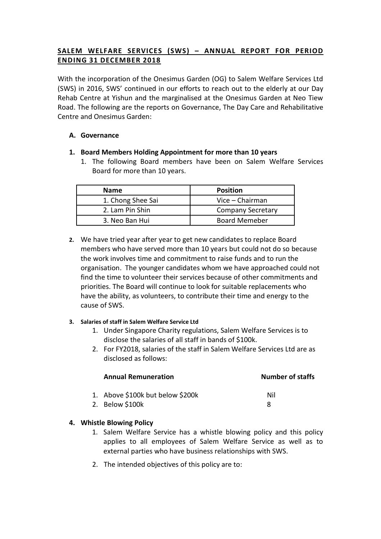# **SALEM WELFARE SERVICES (SWS) – ANNUAL REPORT FOR PERIOD ENDING 31 DECEMBER 2018**

With the incorporation of the Onesimus Garden (OG) to Salem Welfare Services Ltd (SWS) in 2016, SWS' continued in our efforts to reach out to the elderly at our Day Rehab Centre at Yishun and the marginalised at the Onesimus Garden at Neo Tiew Road. The following are the reports on Governance, The Day Care and Rehabilitative Centre and Onesimus Garden:

## **A. Governance**

- **1. Board Members Holding Appointment for more than 10 years**
	- 1. The following Board members have been on Salem Welfare Services Board for more than 10 years.

| <b>Name</b>       | <b>Position</b>          |
|-------------------|--------------------------|
| 1. Chong Shee Sai | Vice - Chairman          |
| 2. Lam Pin Shin   | <b>Company Secretary</b> |
| 3. Neo Ban Hui    | <b>Board Memeber</b>     |

**2.** We have tried year after year to get new candidates to replace Board members who have served more than 10 years but could not do so because the work involves time and commitment to raise funds and to run the organisation. The younger candidates whom we have approached could not find the time to volunteer their services because of other commitments and priorities. The Board will continue to look for suitable replacements who have the ability, as volunteers, to contribute their time and energy to the cause of SWS.

## **3. Salaries of staff in Salem Welfare Service Ltd**

- 1. Under Singapore Charity regulations, Salem Welfare Services is to disclose the salaries of all staff in bands of \$100k.
- 2. For FY2018, salaries of the staff in Salem Welfare Services Ltd are as disclosed as follows:

| <b>Annual Remuneration</b>       | <b>Number of staffs</b> |  |
|----------------------------------|-------------------------|--|
| 1. Above \$100k but below \$200k | Nil                     |  |
| 2. Below \$100k                  |                         |  |

## **4. Whistle Blowing Policy**

- 1. Salem Welfare Service has a whistle blowing policy and this policy applies to all employees of Salem Welfare Service as well as to external parties who have business relationships with SWS.
- 2. The intended objectives of this policy are to: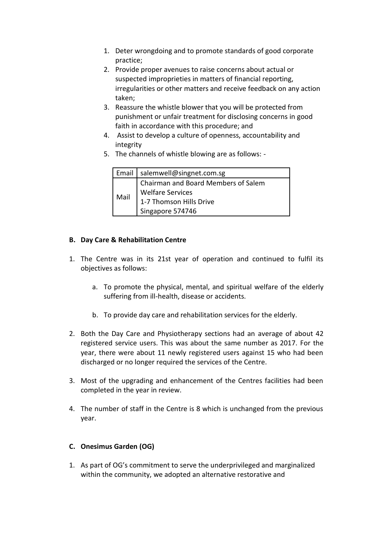- 1. Deter wrongdoing and to promote standards of good corporate practice;
- 2. Provide proper avenues to raise concerns about actual or suspected improprieties in matters of financial reporting, irregularities or other matters and receive feedback on any action taken;
- 3. Reassure the whistle blower that you will be protected from punishment or unfair treatment for disclosing concerns in good faith in accordance with this procedure; and
- 4. Assist to develop a culture of openness, accountability and integrity
- 5. The channels of whistle blowing are as follows: -

|      | Email   salemwell@singnet.com.sg    |  |
|------|-------------------------------------|--|
|      | Chairman and Board Members of Salem |  |
| Mail | I Welfare Services                  |  |
|      | 1-7 Thomson Hills Drive             |  |
|      | Singapore 574746                    |  |

## **B. Day Care & Rehabilitation Centre**

- 1. The Centre was in its 21st year of operation and continued to fulfil its objectives as follows:
	- a. To promote the physical, mental, and spiritual welfare of the elderly suffering from ill-health, disease or accidents.
	- b. To provide day care and rehabilitation services for the elderly.
- 2. Both the Day Care and Physiotherapy sections had an average of about 42 registered service users. This was about the same number as 2017. For the year, there were about 11 newly registered users against 15 who had been discharged or no longer required the services of the Centre.
- 3. Most of the upgrading and enhancement of the Centres facilities had been completed in the year in review.
- 4. The number of staff in the Centre is 8 which is unchanged from the previous year.

## **C. Onesimus Garden (OG)**

1. As part of OG's commitment to serve the underprivileged and marginalized within the community, we adopted an alternative restorative and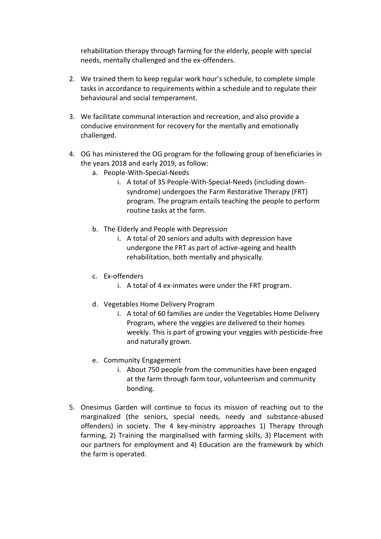rehabilitation therapy through farming for the elderly, people with special needs, mentally challenged and the ex-offenders.

- 2. We trained them to keep regular work hour's schedule, to complete simple tasks in accordance to requirements within a schedule and to regulate their behavioural and social temperament.
- 3. We facilitate communal interaction and recreation, and also provide a conducive environment for recovery for the mentally and emotionally challenged.
- 4. OG has ministered the OG program for the following group of beneficiaries in the years 2018 and early 2019, as follow:
	- a. People-With-Special-Needs
		- i. A total of 35 People-With-Special-Needs (including downsyndrome) undergoes the Farm Restorative Therapy (FRT) program. The program entails teaching the people to perform routine tasks at the farm.
	- b. The Elderly and People with Depression
		- i. A total of 20 seniors and adults with depression have undergone the FRT as part of active-ageing and health rehabilitation, both mentally and physically.
	- c. Ex-offenders
		- i. A total of 4 ex-inmates were under the FRT program.
	- d. Vegetables Home Delivery Program
		- i. A total of 60 families are under the Vegetables Home Delivery Program, where the veggies are delivered to their homes weekly. This is part of growing your veggies with pesticide-free and naturally grown.
	- e. Community Engagement
		- i. About 750 people from the communities have been engaged at the farm through farm tour, volunteerism and community bonding.
- 5. Onesimus Garden will continue to focus its mission of reaching out to the marginalized (the seniors, special needs, needy and substance-abused offenders) in society. The 4 key-ministry approaches 1) Therapy through farming, 2) Training the marginalised with farming skills, 3) Placement with our partners for employment and 4) Education are the framework by which the farm is operated.